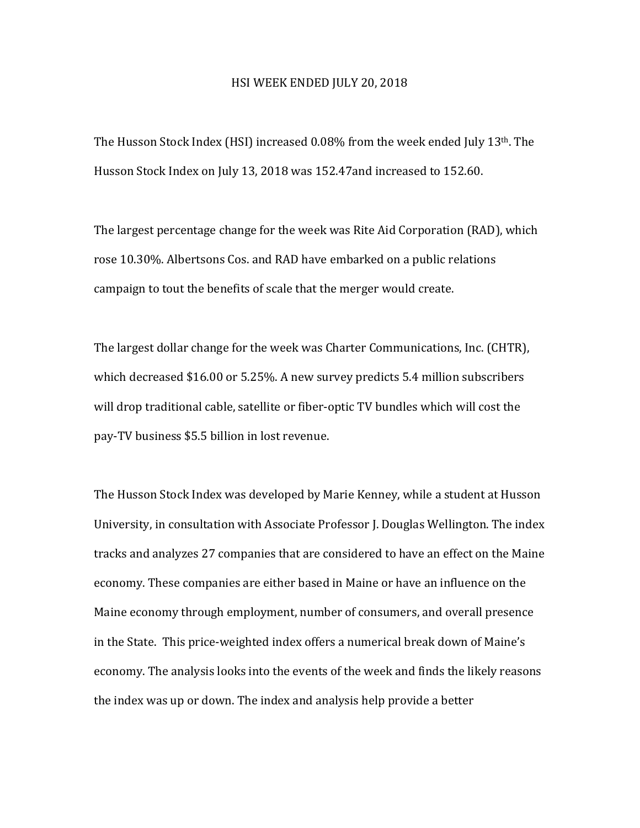## HSI WEEK ENDED JULY 20, 2018

The Husson Stock Index (HSI) increased  $0.08\%$  from the week ended July 13<sup>th</sup>. The Husson Stock Index on July 13, 2018 was 152.47and increased to 152.60.

The largest percentage change for the week was Rite Aid Corporation (RAD), which rose 10.30%. Albertsons Cos. and RAD have embarked on a public relations campaign to tout the benefits of scale that the merger would create.

The largest dollar change for the week was Charter Communications, Inc. (CHTR), which decreased \$16.00 or 5.25%. A new survey predicts 5.4 million subscribers will drop traditional cable, satellite or fiber-optic TV bundles which will cost the pay-TV business \$5.5 billion in lost revenue.

The Husson Stock Index was developed by Marie Kenney, while a student at Husson University, in consultation with Associate Professor J. Douglas Wellington. The index tracks and analyzes 27 companies that are considered to have an effect on the Maine economy. These companies are either based in Maine or have an influence on the Maine economy through employment, number of consumers, and overall presence in the State. This price-weighted index offers a numerical break down of Maine's economy. The analysis looks into the events of the week and finds the likely reasons the index was up or down. The index and analysis help provide a better